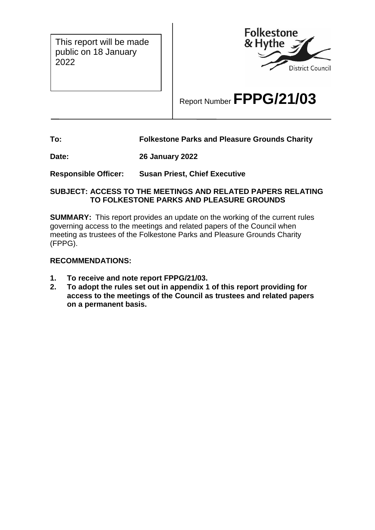This report will be made public on 18 January 2022



# Report Number **FPPG/21/03**

# **To: Folkestone Parks and Pleasure Grounds Charity**

**Date: 26 January 2022**

**Responsible Officer: Susan Priest, Chief Executive**

#### **SUBJECT: ACCESS TO THE MEETINGS AND RELATED PAPERS RELATING TO FOLKESTONE PARKS AND PLEASURE GROUNDS**

**SUMMARY:** This report provides an update on the working of the current rules governing access to the meetings and related papers of the Council when meeting as trustees of the Folkestone Parks and Pleasure Grounds Charity (FPPG).

## **RECOMMENDATIONS:**

- **1. To receive and note report FPPG/21/03.**
- **2. To adopt the rules set out in appendix 1 of this report providing for access to the meetings of the Council as trustees and related papers on a permanent basis.**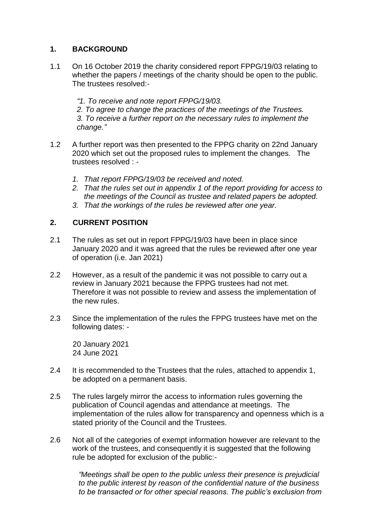# **1. BACKGROUND**

1.1 On 16 October 2019 the charity considered report FPPG/19/03 relating to whether the papers / meetings of the charity should be open to the public. The trustees resolved:-

*"1. To receive and note report FPPG/19/03.*

*2. To agree to change the practices of the meetings of the Trustees. 3. To receive a further report on the necessary rules to implement the change."*

- 1.2 A further report was then presented to the FPPG charity on 22nd January 2020 which set out the proposed rules to implement the changes. The trustees resolved : -
	- *1. That report FPPG/19/03 be received and noted.*
	- *2. That the rules set out in appendix 1 of the report providing for access to the meetings of the Council as trustee and related papers be adopted.*
	- *3. That the workings of the rules be reviewed after one year.*

## **2. CURRENT POSITION**

- 2.1 The rules as set out in report FPPG/19/03 have been in place since January 2020 and it was agreed that the rules be reviewed after one year of operation (i.e. Jan 2021)
- 2.2 However, as a result of the pandemic it was not possible to carry out a review in January 2021 because the FPPG trustees had not met. Therefore it was not possible to review and assess the implementation of the new rules.
- 2.3 Since the implementation of the rules the FPPG trustees have met on the following dates: -

20 January 2021 24 June 2021

- 2.4 It is recommended to the Trustees that the rules, attached to appendix 1, be adopted on a permanent basis.
- 2.5 The rules largely mirror the access to information rules governing the publication of Council agendas and attendance at meetings. The implementation of the rules allow for transparency and openness which is a stated priority of the Council and the Trustees.
- 2.6 Not all of the categories of exempt information however are relevant to the work of the trustees, and consequently it is suggested that the following rule be adopted for exclusion of the public:-

*"Meetings shall be open to the public unless their presence is prejudicial to the public interest by reason of the confidential nature of the business to be transacted or for other special reasons. The public's exclusion from*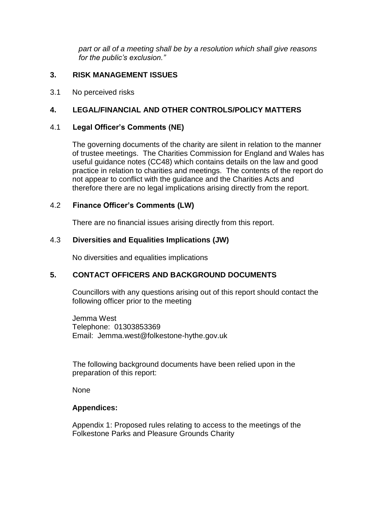*part or all of a meeting shall be by a resolution which shall give reasons for the public's exclusion."*

#### **3. RISK MANAGEMENT ISSUES**

3.1 No perceived risks

# **4. LEGAL/FINANCIAL AND OTHER CONTROLS/POLICY MATTERS**

#### 4.1 **Legal Officer's Comments (NE)**

The governing documents of the charity are silent in relation to the manner of trustee meetings. The Charities Commission for England and Wales has useful guidance notes (CC48) which contains details on the law and good practice in relation to charities and meetings. The contents of the report do not appear to conflict with the guidance and the Charities Acts and therefore there are no legal implications arising directly from the report.

#### 4.2 **Finance Officer's Comments (LW)**

There are no financial issues arising directly from this report.

#### 4.3 **Diversities and Equalities Implications (JW)**

No diversities and equalities implications

## **5. CONTACT OFFICERS AND BACKGROUND DOCUMENTS**

Councillors with any questions arising out of this report should contact the following officer prior to the meeting

Jemma West Telephone: 01303853369 Email: Jemma.west@folkestone-hythe.gov.uk

The following background documents have been relied upon in the preparation of this report:

None

#### **Appendices:**

Appendix 1: Proposed rules relating to access to the meetings of the Folkestone Parks and Pleasure Grounds Charity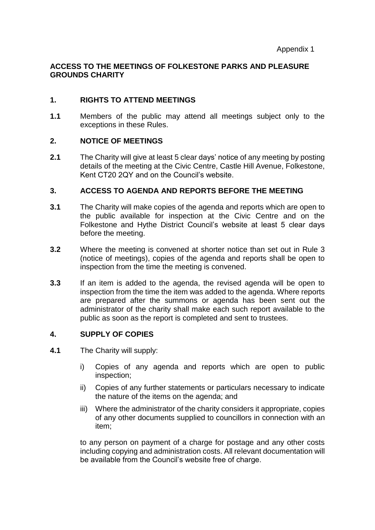# **ACCESS TO THE MEETINGS OF FOLKESTONE PARKS AND PLEASURE GROUNDS CHARITY**

## **1. RIGHTS TO ATTEND MEETINGS**

**1.1** Members of the public may attend all meetings subject only to the exceptions in these Rules.

## **2. NOTICE OF MEETINGS**

**2.1** The Charity will give at least 5 clear days' notice of any meeting by posting details of the meeting at the Civic Centre, Castle Hill Avenue, Folkestone, Kent CT20 2QY and on the Council's website.

#### **3. ACCESS TO AGENDA AND REPORTS BEFORE THE MEETING**

- **3.1** The Charity will make copies of the agenda and reports which are open to the public available for inspection at the Civic Centre and on the Folkestone and Hythe District Council's website at least 5 clear days before the meeting.
- **3.2** Where the meeting is convened at shorter notice than set out in Rule 3 (notice of meetings), copies of the agenda and reports shall be open to inspection from the time the meeting is convened.
- **3.3** If an item is added to the agenda, the revised agenda will be open to inspection from the time the item was added to the agenda. Where reports are prepared after the summons or agenda has been sent out the administrator of the charity shall make each such report available to the public as soon as the report is completed and sent to trustees.

## **4. SUPPLY OF COPIES**

- **4.1** The Charity will supply:
	- i) Copies of any agenda and reports which are open to public inspection;
	- ii) Copies of any further statements or particulars necessary to indicate the nature of the items on the agenda; and
	- iii) Where the administrator of the charity considers it appropriate, copies of any other documents supplied to councillors in connection with an item;

to any person on payment of a charge for postage and any other costs including copying and administration costs. All relevant documentation will be available from the Council's website free of charge.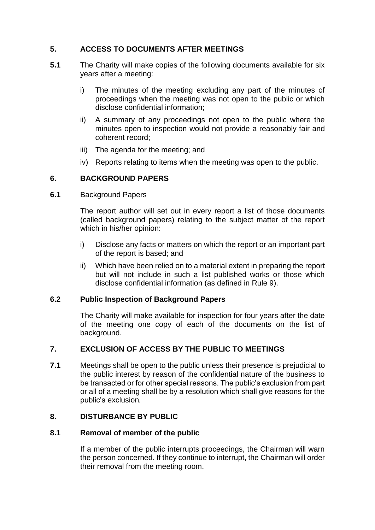# **5. ACCESS TO DOCUMENTS AFTER MEETINGS**

- **5.1** The Charity will make copies of the following documents available for six years after a meeting:
	- i) The minutes of the meeting excluding any part of the minutes of proceedings when the meeting was not open to the public or which disclose confidential information;
	- ii) A summary of any proceedings not open to the public where the minutes open to inspection would not provide a reasonably fair and coherent record;
	- iii) The agenda for the meeting; and
	- iv) Reports relating to items when the meeting was open to the public.

# **6. BACKGROUND PAPERS**

**6.1** Background Papers

The report author will set out in every report a list of those documents (called background papers) relating to the subject matter of the report which in his/her opinion:

- i) Disclose any facts or matters on which the report or an important part of the report is based; and
- ii) Which have been relied on to a material extent in preparing the report but will not include in such a list published works or those which disclose confidential information (as defined in Rule 9).

## **6.2 Public Inspection of Background Papers**

The Charity will make available for inspection for four years after the date of the meeting one copy of each of the documents on the list of background.

## **7. EXCLUSION OF ACCESS BY THE PUBLIC TO MEETINGS**

**7.1** Meetings shall be open to the public unless their presence is prejudicial to the public interest by reason of the confidential nature of the business to be transacted or for other special reasons. The public's exclusion from part or all of a meeting shall be by a resolution which shall give reasons for the public's exclusion*.*

## **8. DISTURBANCE BY PUBLIC**

#### **8.1 Removal of member of the public**

If a member of the public interrupts proceedings, the Chairman will warn the person concerned. If they continue to interrupt, the Chairman will order their removal from the meeting room.